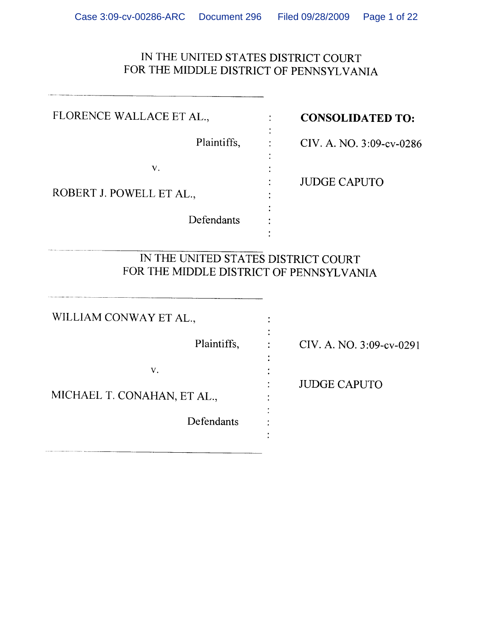### IN THE UNITED STATES DISTRICT COURT FOR THE MIDDLE DISTRICT OF PENNSYLVANIA

| FLORENCE WALLACE ET AL.,                                                       | <b>CONSOLIDATED TO:</b>  |
|--------------------------------------------------------------------------------|--------------------------|
| Plaintiffs,                                                                    | CIV. A. NO. 3:09-cv-0286 |
| V.<br>ROBERT J. POWELL ET AL.,                                                 | <b>JUDGE CAPUTO</b>      |
| Defendants                                                                     |                          |
| IN THE UNITED STATES DISTRICT COURT<br>FOR THE MIDDLE DISTRICT OF PENNSYLVANIA |                          |
| WILLIAM CONWAY ET AL.,                                                         |                          |
| Plaintiffs,                                                                    | CIV. A. NO. 3:09-cv-0291 |
| V.<br>MICHAEL T. CONAHAN, ET AL.,<br>Defendants                                | <b>JUDGE CAPUTO</b>      |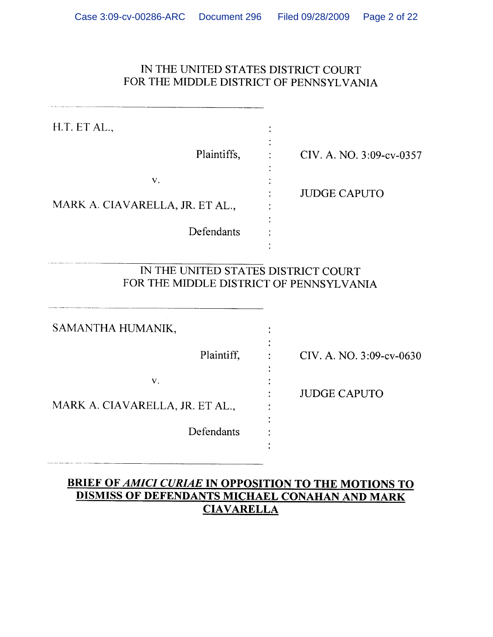### IN THE UNITED STATES DISTRICT COURT FOR THE MIDDLE DISTRICT OF PENNSYLVANIA

| H.T. ET AL.,                                                                   |                          |
|--------------------------------------------------------------------------------|--------------------------|
| Plaintiffs,                                                                    | CIV. A. NO. 3:09-cv-0357 |
| V.<br>MARK A. CIAVARELLA, JR. ET AL.,<br>Defendants                            | <b>JUDGE CAPUTO</b>      |
| IN THE UNITED STATES DISTRICT COURT<br>FOR THE MIDDLE DISTRICT OF PENNSYLVANIA |                          |
| SAMANTHA HUMANIK.                                                              |                          |

Plaintiff,

Defendants

 $V_{\star}$ 

MARK A. CIAVARELLA, JR. ET AL.,

 $\mathbb{R}^{\mathbb{Z}}$ 

 $\ddot{\cdot}$ 

÷

 $\ddot{\cdot}$ 

CIV. A. NO. 3:09-cv-0630

**JUDGE CAPUTO** 

### **BRIEF OF AMICI CURIAE IN OPPOSITION TO THE MOTIONS TO DISMISS OF DEFENDANTS MICHAEL CONAHAN AND MARK CIAVARELLA**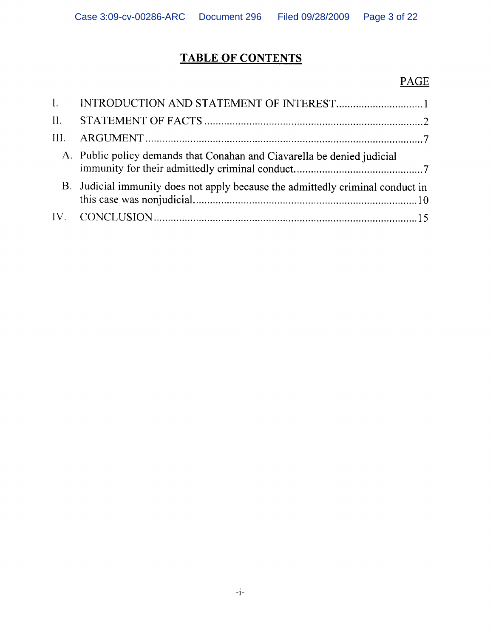# **TABLE OF CONTENTS**

## $\underline{\mathbf{PAGE}}$

| A. Public policy demands that Conahan and Ciavarella be denied judicial        |
|--------------------------------------------------------------------------------|
| B. Judicial immunity does not apply because the admittedly criminal conduct in |
|                                                                                |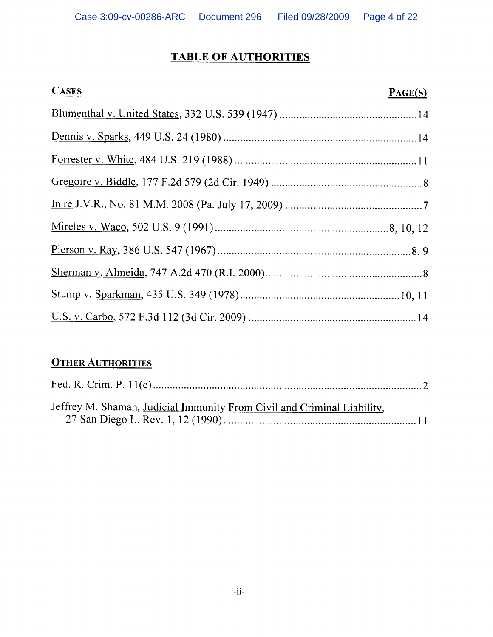# **TABLE OF AUTHORITIES**

| <b>CASES</b> | PAGE(S) |
|--------------|---------|
|              |         |
|              |         |
|              |         |
|              |         |
|              |         |
|              |         |
|              |         |
|              |         |
|              |         |
|              |         |

 $\bar{z}$ 

# **OTHER AUTHORITIES**

| Jeffrey M. Shaman, Judicial Immunity From Civil and Criminal Liability, |  |
|-------------------------------------------------------------------------|--|
|                                                                         |  |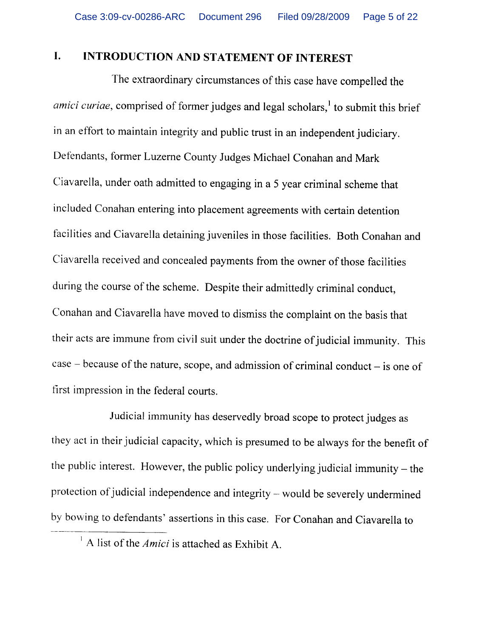#### $\mathbf{I}$ . **INTRODUCTION AND STATEMENT OF INTEREST**

The extraordinary circumstances of this case have compelled the amici curiae, comprised of former judges and legal scholars,<sup>1</sup> to submit this brief in an effort to maintain integrity and public trust in an independent judiciary. Defendants, former Luzerne County Judges Michael Conahan and Mark Ciavarella, under oath admitted to engaging in a 5 year criminal scheme that included Conahan entering into placement agreements with certain detention facilities and Ciavarella detaining juveniles in those facilities. Both Conahan and Ciavarella received and concealed payments from the owner of those facilities during the course of the scheme. Despite their admittedly criminal conduct, Conahan and Ciavarella have moved to dismiss the complaint on the basis that their acts are immune from civil suit under the doctrine of judicial immunity. This  $case - because of the nature, scope, and admission of criminal conduct - is one of$ first impression in the federal courts.

Judicial immunity has deservedly broad scope to protect judges as they act in their judicial capacity, which is presumed to be always for the benefit of the public interest. However, the public policy underlying judicial immunity  $-$  the protection of judicial independence and integrity - would be severely undermined by bowing to defendants' assertions in this case. For Conahan and Ciavarella to

<sup>&</sup>lt;sup>1</sup> A list of the *Amici* is attached as Exhibit A.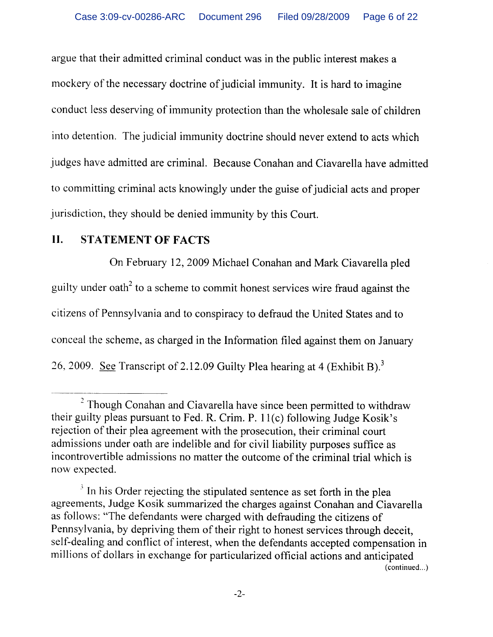argue that their admitted criminal conduct was in the public interest makes a mockery of the necessary doctrine of judicial immunity. It is hard to imagine conduct less deserving of immunity protection than the wholesale sale of children into detention. The judicial immunity doctrine should never extend to acts which judges have admitted are criminal. Because Conahan and Ciavarella have admitted to committing criminal acts knowingly under the guise of judicial acts and proper jurisdiction, they should be denied immunity by this Court.

#### II. **STATEMENT OF FACTS**

On February 12, 2009 Michael Conahan and Mark Ciavarella pled guilty under oath<sup>2</sup> to a scheme to commit honest services wire fraud against the citizens of Pennsylvania and to conspiracy to defraud the United States and to conceal the scheme, as charged in the Information filed against them on January 26, 2009. See Transcript of 2.12.09 Guilty Plea hearing at 4 (Exhibit B).<sup>3</sup>

<sup>&</sup>lt;sup>2</sup> Though Conahan and Ciavarella have since been permitted to withdraw their guilty pleas pursuant to Fed. R. Crim. P. 11(c) following Judge Kosik's rejection of their plea agreement with the prosecution, their criminal court admissions under oath are indelible and for civil liability purposes suffice as incontrovertible admissions no matter the outcome of the criminal trial which is now expected.

 $3$  In his Order rejecting the stipulated sentence as set forth in the plea agreements, Judge Kosik summarized the charges against Conahan and Ciavarella as follows: "The defendants were charged with defrauding the citizens of Pennsylvania, by depriving them of their right to honest services through deceit, self-dealing and conflict of interest, when the defendants accepted compensation in millions of dollars in exchange for particularized official actions and anticipated (continued...)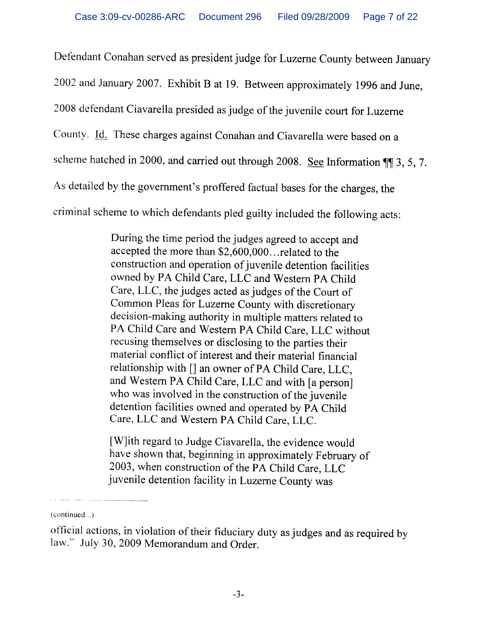Defendant Conahan served as president judge for Luzerne County between January 2002 and January 2007. Exhibit B at 19. Between approximately 1996 and June, 2008 defendant Ciavarella presided as judge of the juvenile court for Luzerne County. Id. These charges against Conahan and Ciavarella were based on a scheme hatched in 2000, and carried out through 2008. See Information 11 3, 5, 7. As detailed by the government's proffered factual bases for the charges, the criminal scheme to which defendants pled guilty included the following acts:

> During the time period the judges agreed to accept and accepted the more than \$2,600,000...related to the construction and operation of juvenile detention facilities owned by PA Child Care, LLC and Western PA Child Care, LLC, the judges acted as judges of the Court of Common Pleas for Luzerne County with discretionary decision-making authority in multiple matters related to PA Child Care and Western PA Child Care, LLC without recusing themselves or disclosing to the parties their material conflict of interest and their material financial relationship with [] an owner of PA Child Care, LLC, and Western PA Child Care, LLC and with [a person] who was involved in the construction of the juvenile detention facilities owned and operated by PA Child Care, LLC and Western PA Child Care, LLC.

> [W]ith regard to Judge Ciavarella, the evidence would have shown that, beginning in approximately February of 2003, when construction of the PA Child Care, LLC juvenile detention facility in Luzerne County was

<sup>(</sup>continued...)

official actions, in violation of their fiduciary duty as judges and as required by law." July 30, 2009 Memorandum and Order.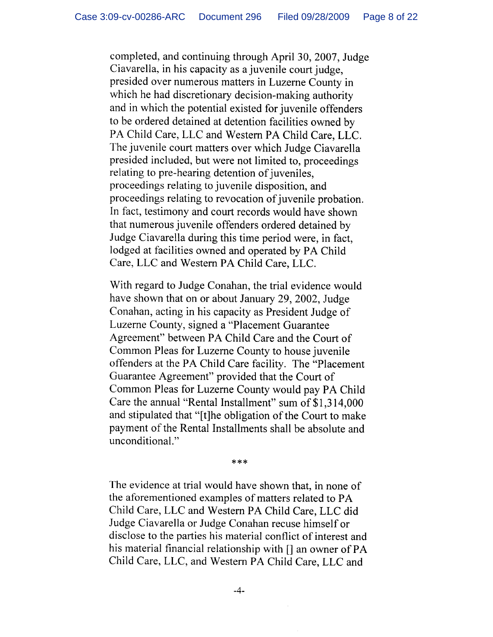completed, and continuing through April 30, 2007, Judge Ciavarella, in his capacity as a juvenile court judge, presided over numerous matters in Luzerne County in which he had discretionary decision-making authority and in which the potential existed for juvenile offenders to be ordered detained at detention facilities owned by PA Child Care, LLC and Western PA Child Care, LLC. The juvenile court matters over which Judge Ciavarella presided included, but were not limited to, proceedings relating to pre-hearing detention of juveniles, proceedings relating to juvenile disposition, and proceedings relating to revocation of juvenile probation. In fact, testimony and court records would have shown that numerous juvenile offenders ordered detained by Judge Ciavarella during this time period were, in fact, lodged at facilities owned and operated by PA Child Care, LLC and Western PA Child Care, LLC.

With regard to Judge Conahan, the trial evidence would have shown that on or about January 29, 2002, Judge Conahan, acting in his capacity as President Judge of Luzerne County, signed a "Placement Guarantee" Agreement" between PA Child Care and the Court of Common Pleas for Luzerne County to house juvenile offenders at the PA Child Care facility. The "Placement" Guarantee Agreement" provided that the Court of Common Pleas for Luzerne County would pay PA Child Care the annual "Rental Installment" sum of \$1,314,000 and stipulated that "[t]he obligation of the Court to make payment of the Rental Installments shall be absolute and unconditional."

\*\*\*

The evidence at trial would have shown that, in none of the aforementioned examples of matters related to PA Child Care, LLC and Western PA Child Care, LLC did Judge Ciavarella or Judge Conahan recuse himself or disclose to the parties his material conflict of interest and his material financial relationship with [] an owner of PA Child Care, LLC, and Western PA Child Care, LLC and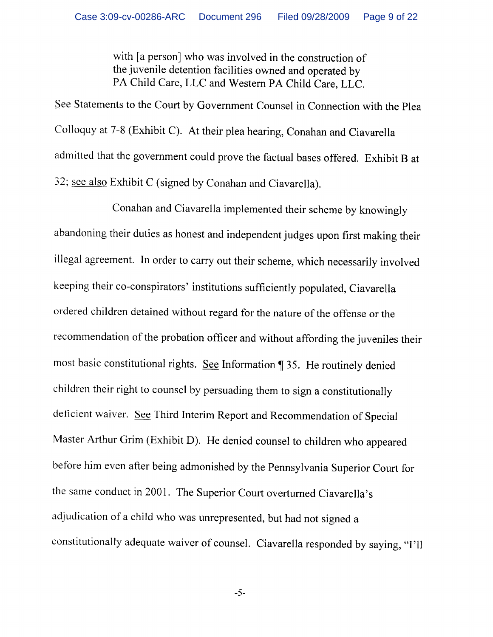with [a person] who was involved in the construction of the juvenile detention facilities owned and operated by PA Child Care, LLC and Western PA Child Care, LLC.

See Statements to the Court by Government Counsel in Connection with the Plea Colloquy at 7-8 (Exhibit C). At their plea hearing, Conahan and Ciavarella admitted that the government could prove the factual bases offered. Exhibit B at 32; see also Exhibit C (signed by Conahan and Ciavarella).

Conahan and Ciavarella implemented their scheme by knowingly abandoning their duties as honest and independent judges upon first making their illegal agreement. In order to carry out their scheme, which necessarily involved keeping their co-conspirators' institutions sufficiently populated, Ciavarella ordered children detained without regard for the nature of the offense or the recommendation of the probation officer and without affording the juveniles their most basic constitutional rights. See Information ¶35. He routinely denied children their right to counsel by persuading them to sign a constitutionally deficient waiver. See Third Interim Report and Recommendation of Special Master Arthur Grim (Exhibit D). He denied counsel to children who appeared before him even after being admonished by the Pennsylvania Superior Court for the same conduct in 2001. The Superior Court overturned Ciavarella's adjudication of a child who was unrepresented, but had not signed a constitutionally adequate waiver of counsel. Ciavarella responded by saying, "I'll

 $-5-$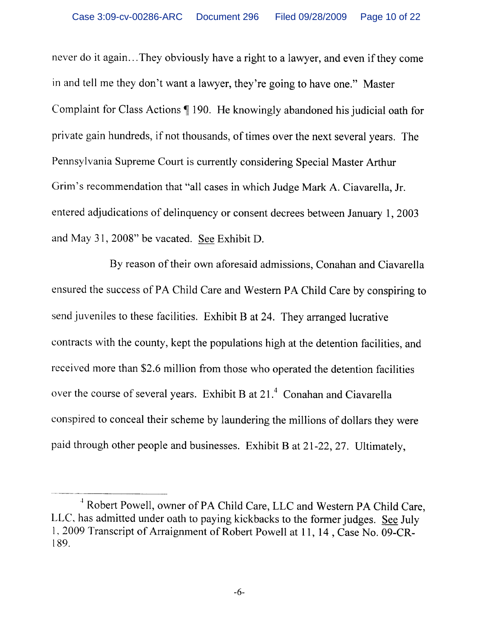never do it again...They obviously have a right to a lawyer, and even if they come in and tell me they don't want a lawyer, they're going to have one." Master Complaint for Class Actions | 190. He knowingly abandoned his judicial oath for private gain hundreds, if not thousands, of times over the next several years. The Pennsylvania Supreme Court is currently considering Special Master Arthur Grim's recommendation that "all cases in which Judge Mark A. Ciavarella, Jr. entered adjudications of delinquency or consent decrees between January 1, 2003 and May 31, 2008" be vacated. See Exhibit D.

By reason of their own aforesaid admissions, Conahan and Ciavarella ensured the success of PA Child Care and Western PA Child Care by conspiring to send juveniles to these facilities. Exhibit B at 24. They arranged lucrative contracts with the county, kept the populations high at the detention facilities, and received more than \$2.6 million from those who operated the detention facilities over the course of several years. Exhibit B at 21.<sup>4</sup> Conahan and Ciavarella conspired to conceal their scheme by laundering the millions of dollars they were paid through other people and businesses. Exhibit B at 21-22, 27. Ultimately,

<sup>&</sup>lt;sup>4</sup> Robert Powell, owner of PA Child Care, LLC and Western PA Child Care, LLC, has admitted under oath to paying kickbacks to the former judges. See July 1, 2009 Transcript of Arraignment of Robert Powell at 11, 14, Case No. 09-CR-189.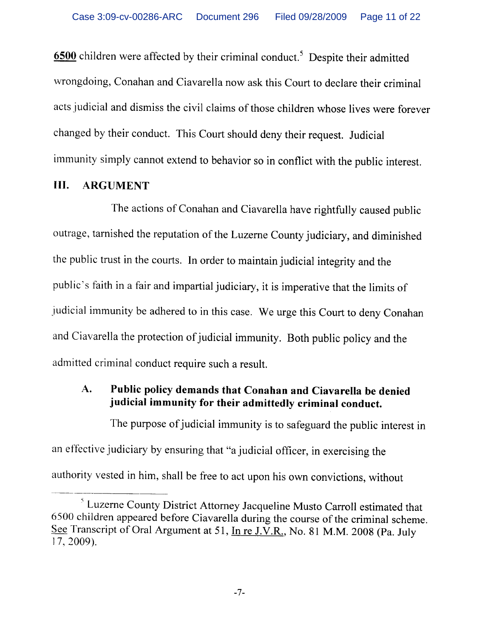6500 children were affected by their criminal conduct.<sup>5</sup> Despite their admitted wrongdoing, Conahan and Ciavarella now ask this Court to declare their criminal acts judicial and dismiss the civil claims of those children whose lives were forever changed by their conduct. This Court should deny their request. Judicial immunity simply cannot extend to behavior so in conflict with the public interest.

#### III. **ARGUMENT**

The actions of Conahan and Ciavarella have rightfully caused public outrage, tarnished the reputation of the Luzerne County judiciary, and diminished the public trust in the courts. In order to maintain judicial integrity and the public's faith in a fair and impartial judiciary, it is imperative that the limits of judicial immunity be adhered to in this case. We urge this Court to deny Conahan and Ciavarella the protection of judicial immunity. Both public policy and the admitted criminal conduct require such a result.

### Public policy demands that Conahan and Ciavarella be denied A. judicial immunity for their admittedly criminal conduct.

The purpose of judicial immunity is to safeguard the public interest in an effective judiciary by ensuring that "a judicial officer, in exercising the authority vested in him, shall be free to act upon his own convictions, without

<sup>&</sup>lt;sup>5</sup> Luzerne County District Attorney Jacqueline Musto Carroll estimated that 6500 children appeared before Ciavarella during the course of the criminal scheme. See Transcript of Oral Argument at 51, In re J.V.R., No. 81 M.M. 2008 (Pa. July  $17, 2009$ ).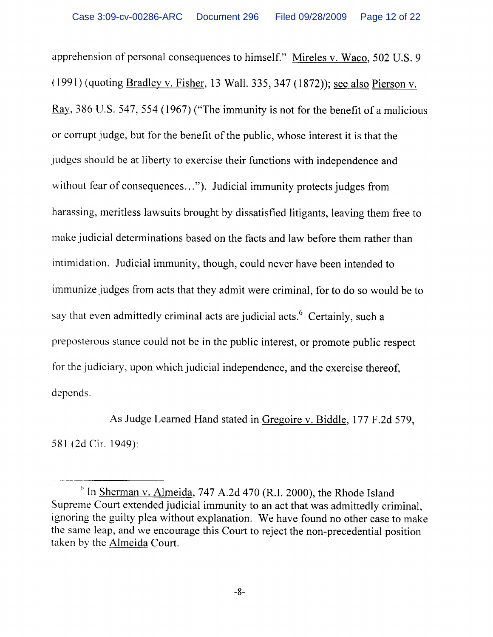apprehension of personal consequences to himself." Mireles v. Waco, 502 U.S. 9 (1991) (quoting Bradley v. Fisher, 13 Wall. 335, 347 (1872)); see also Pierson v. Ray, 386 U.S. 547, 554 (1967) ("The immunity is not for the benefit of a malicious or corrupt judge, but for the benefit of the public, whose interest it is that the judges should be at liberty to exercise their functions with independence and without fear of consequences..."). Judicial immunity protects judges from harassing, meritless lawsuits brought by dissatisfied litigants, leaving them free to make judicial determinations based on the facts and law before them rather than intimidation. Judicial immunity, though, could never have been intended to immunize judges from acts that they admit were criminal, for to do so would be to say that even admittedly criminal acts are judicial acts.<sup>6</sup> Certainly, such a preposterous stance could not be in the public interest, or promote public respect for the judiciary, upon which judicial independence, and the exercise thereof, depends.

As Judge Learned Hand stated in Gregoire v. Biddle, 177 F.2d 579, 581 (2d Cir. 1949):

 $\degree$  In Sherman v. Almeida, 747 A.2d 470 (R.I. 2000), the Rhode Island Supreme Court extended judicial immunity to an act that was admittedly criminal, ignoring the guilty plea without explanation. We have found no other case to make the same leap, and we encourage this Court to reject the non-precedential position taken by the Almeida Court.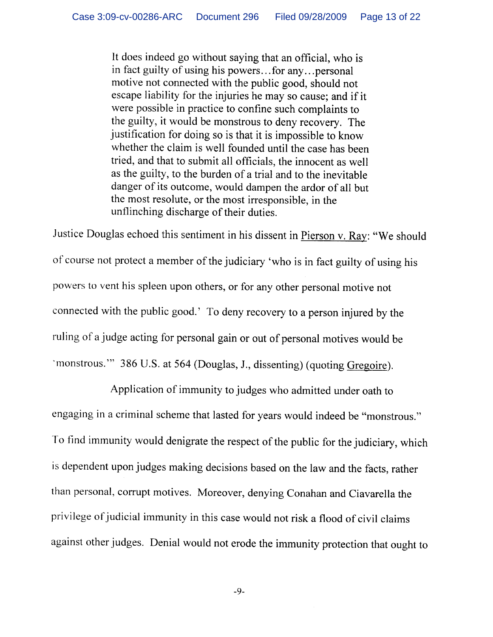It does indeed go without saying that an official, who is in fact guilty of using his powers...for any...personal motive not connected with the public good, should not escape liability for the injuries he may so cause; and if it were possible in practice to confine such complaints to the guilty, it would be monstrous to deny recovery. The justification for doing so is that it is impossible to know whether the claim is well founded until the case has been tried, and that to submit all officials, the innocent as well as the guilty, to the burden of a trial and to the inevitable danger of its outcome, would dampen the ardor of all but the most resolute, or the most irresponsible, in the unflinching discharge of their duties.

Justice Douglas echoed this sentiment in his dissent in Pierson v. Ray: "We should of course not protect a member of the judiciary 'who is in fact guilty of using his powers to vent his spleen upon others, or for any other personal motive not connected with the public good.' To deny recovery to a person injured by the ruling of a judge acting for personal gain or out of personal motives would be 'monstrous." 386 U.S. at 564 (Douglas, J., dissenting) (quoting Gregoire).

Application of immunity to judges who admitted under oath to engaging in a criminal scheme that lasted for years would indeed be "monstrous." To find immunity would denigrate the respect of the public for the judiciary, which is dependent upon judges making decisions based on the law and the facts, rather than personal, corrupt motives. Moreover, denying Conahan and Ciavarella the privilege of judicial immunity in this case would not risk a flood of civil claims against other judges. Denial would not erode the immunity protection that ought to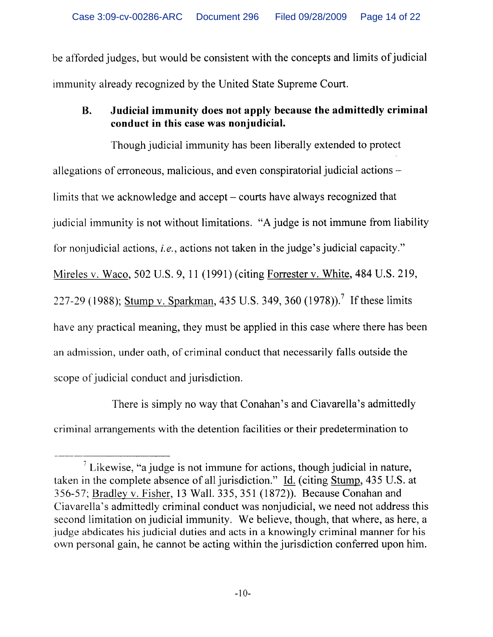be afforded judges, but would be consistent with the concepts and limits of judicial immunity already recognized by the United State Supreme Court.

### **B.** Judicial immunity does not apply because the admittedly criminal conduct in this case was nonjudicial.

Though judicial immunity has been liberally extended to protect allegations of erroneous, malicious, and even conspiratorial judicial actions limits that we acknowledge and accept – courts have always recognized that judicial immunity is not without limitations. "A judge is not immune from liability for nonjudicial actions, *i.e.*, actions not taken in the judge's judicial capacity." Mireles v. Waco, 502 U.S. 9, 11 (1991) (citing Forrester v. White, 484 U.S. 219, 227-29 (1988); Stump v. Sparkman, 435 U.S. 349, 360 (1978)).<sup>7</sup> If these limits have any practical meaning, they must be applied in this case where there has been an admission, under oath, of criminal conduct that necessarily falls outside the scope of judicial conduct and jurisdiction.

There is simply no way that Conahan's and Ciavarella's admittedly criminal arrangements with the detention facilities or their predetermination to

 $\frac{7}{1}$  Likewise, "a judge is not immune for actions, though judicial in nature, taken in the complete absence of all jurisdiction." Id. (citing Stump, 435 U.S. at 356-57; Bradley v. Fisher, 13 Wall. 335, 351 (1872)). Because Conahan and Ciavarella's admittedly criminal conduct was nonjudicial, we need not address this second limitation on judicial immunity. We believe, though, that where, as here, a judge abdicates his judicial duties and acts in a knowingly criminal manner for his own personal gain, he cannot be acting within the jurisdiction conferred upon him.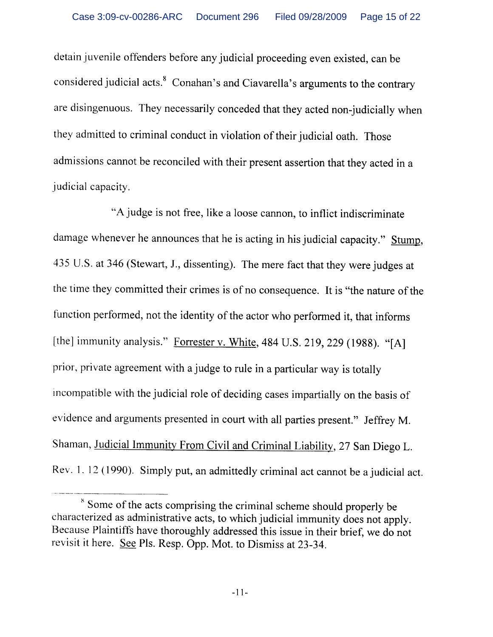detain juvenile offenders before any judicial proceeding even existed, can be considered judicial acts.<sup>8</sup> Conahan's and Ciavarella's arguments to the contrary are disingenuous. They necessarily conceded that they acted non-judicially when they admitted to criminal conduct in violation of their judicial oath. Those admissions cannot be reconciled with their present assertion that they acted in a judicial capacity.

"A judge is not free, like a loose cannon, to inflict indiscriminate damage whenever he announces that he is acting in his judicial capacity." Stump, 435 U.S. at 346 (Stewart, J., dissenting). The mere fact that they were judges at the time they committed their crimes is of no consequence. It is "the nature of the function performed, not the identity of the actor who performed it, that informs [the] immunity analysis." Forrester v. White, 484 U.S. 219, 229 (1988). "[A] prior, private agreement with a judge to rule in a particular way is totally incompatible with the judicial role of deciding cases impartially on the basis of evidence and arguments presented in court with all parties present." Jeffrey M. Shaman, Judicial Immunity From Civil and Criminal Liability, 27 San Diego L. Rev. 1, 12 (1990). Simply put, an admittedly criminal act cannot be a judicial act.

<sup>&</sup>lt;sup>8</sup> Some of the acts comprising the criminal scheme should properly be characterized as administrative acts, to which judicial immunity does not apply. Because Plaintiffs have thoroughly addressed this issue in their brief, we do not revisit it here. See Pls. Resp. Opp. Mot. to Dismiss at 23-34.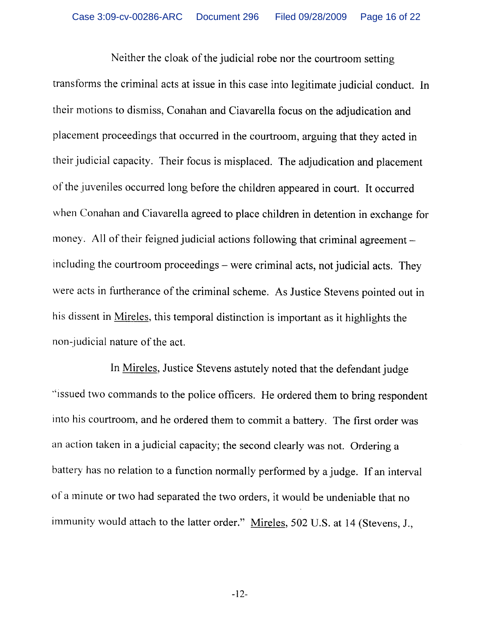Neither the cloak of the judicial robe nor the courtroom setting transforms the criminal acts at issue in this case into legitimate judicial conduct. In their motions to dismiss, Conahan and Ciavarella focus on the adjudication and placement proceedings that occurred in the courtroom, arguing that they acted in their judicial capacity. Their focus is misplaced. The adjudication and placement of the juveniles occurred long before the children appeared in court. It occurred when Conahan and Ciavarella agreed to place children in detention in exchange for money. All of their feigned judicial actions following that criminal agreement including the courtroom proceedings - were criminal acts, not judicial acts. They were acts in furtherance of the criminal scheme. As Justice Stevens pointed out in his dissent in Mireles, this temporal distinction is important as it highlights the non-judicial nature of the act.

In Mireles, Justice Stevens astutely noted that the defendant judge "issued two commands to the police officers. He ordered them to bring respondent into his courtroom, and he ordered them to commit a battery. The first order was an action taken in a judicial capacity; the second clearly was not. Ordering a battery has no relation to a function normally performed by a judge. If an interval of a minute or two had separated the two orders, it would be undeniable that no immunity would attach to the latter order." Mireles, 502 U.S. at 14 (Stevens, J.,

 $-12-$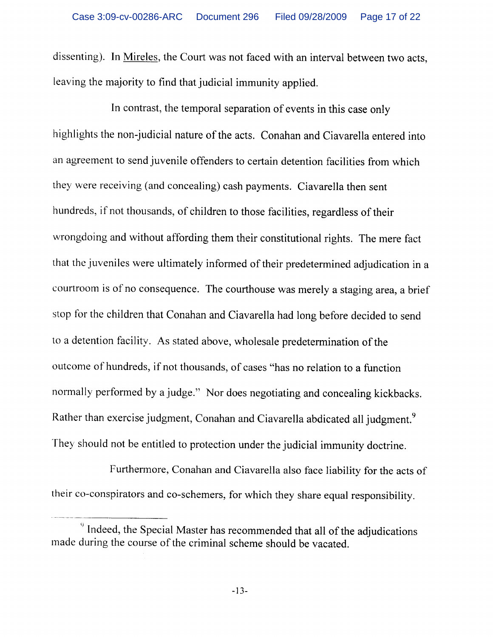dissenting). In Mireles, the Court was not faced with an interval between two acts, leaving the majority to find that judicial immunity applied.

In contrast, the temporal separation of events in this case only highlights the non-judicial nature of the acts. Conahan and Ciavarella entered into an agreement to send juvenile offenders to certain detention facilities from which they were receiving (and concealing) cash payments. Ciavarella then sent hundreds, if not thousands, of children to those facilities, regardless of their wrongdoing and without affording them their constitutional rights. The mere fact that the juveniles were ultimately informed of their predetermined adjudication in a courtroom is of no consequence. The courthouse was merely a staging area, a brief stop for the children that Conahan and Ciavarella had long before decided to send to a detention facility. As stated above, wholesale predetermination of the outcome of hundreds, if not thousands, of cases "has no relation to a function normally performed by a judge." Nor does negotiating and concealing kickbacks. Rather than exercise judgment, Conahan and Ciavarella abdicated all judgment.<sup>9</sup> They should not be entitled to protection under the judicial immunity doctrine.

Furthermore, Conahan and Ciavarella also face liability for the acts of their co-conspirators and co-schemers, for which they share equal responsibility.

<sup>&</sup>lt;sup>9</sup> Indeed, the Special Master has recommended that all of the adjudications made during the course of the criminal scheme should be vacated.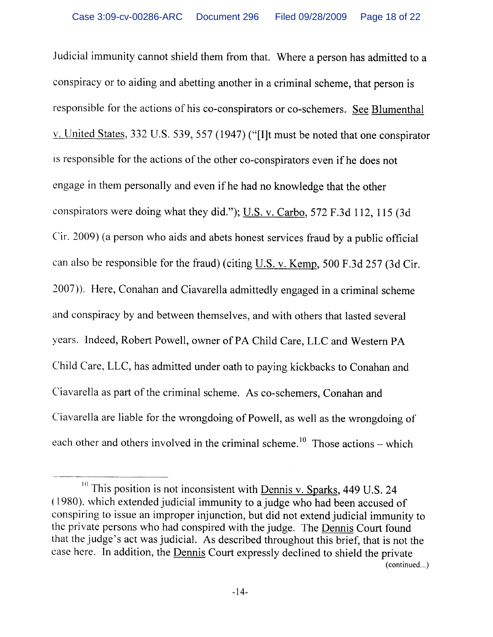Judicial immunity cannot shield them from that. Where a person has admitted to a conspiracy or to aiding and abetting another in a criminal scheme, that person is responsible for the actions of his co-conspirators or co-schemers. See Blumenthal v. United States, 332 U.S. 539, 557 (1947) ("[I]t must be noted that one conspirator is responsible for the actions of the other co-conspirators even if he does not engage in them personally and even if he had no knowledge that the other conspirators were doing what they did."); U.S. v. Carbo, 572 F.3d 112, 115 (3d Cir. 2009) (a person who aids and abets honest services fraud by a public official can also be responsible for the fraud) (citing U.S. v. Kemp, 500 F.3d 257 (3d Cir. 2007)). Here, Conahan and Ciavarella admittedly engaged in a criminal scheme and conspiracy by and between themselves, and with others that lasted several years. Indeed, Robert Powell, owner of PA Child Care, LLC and Western PA Child Care, LLC, has admitted under oath to paying kickbacks to Conahan and Ciavarella as part of the criminal scheme. As co-schemers, Conahan and Ciavarella are liable for the wrongdoing of Powell, as well as the wrongdoing of each other and others involved in the criminal scheme.<sup>10</sup> Those actions – which

<sup>&</sup>lt;sup>10</sup> This position is not inconsistent with **Dennis v. Sparks**, 449 U.S. 24 (1980), which extended judicial immunity to a judge who had been accused of conspiring to issue an improper injunction, but did not extend judicial immunity to the private persons who had conspired with the judge. The Dennis Court found that the judge's act was judicial. As described throughout this brief, that is not the case here. In addition, the Dennis Court expressly declined to shield the private (continued...)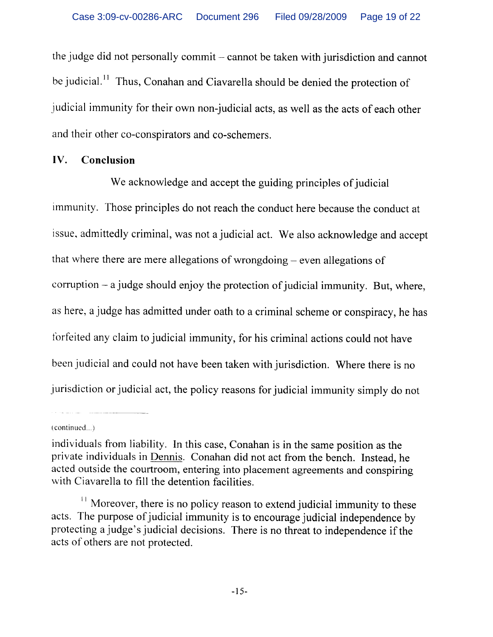the judge did not personally commit - cannot be taken with jurisdiction and cannot be judicial.<sup>11</sup> Thus, Conahan and Ciavarella should be denied the protection of judicial immunity for their own non-judicial acts, as well as the acts of each other and their other co-conspirators and co-schemers.

#### IV. Conclusion

We acknowledge and accept the guiding principles of judicial immunity. Those principles do not reach the conduct here because the conduct at issue, admittedly criminal, was not a judicial act. We also acknowledge and accept that where there are mere allegations of wrongdoing – even allegations of corruption  $-$  a judge should enjoy the protection of judicial immunity. But, where, as here, a judge has admitted under oath to a criminal scheme or conspiracy, he has forfeited any claim to judicial immunity, for his criminal actions could not have been judicial and could not have been taken with jurisdiction. Where there is no jurisdiction or judicial act, the policy reasons for judicial immunity simply do not

(continued...)

individuals from liability. In this case, Conahan is in the same position as the private individuals in Dennis. Conahan did not act from the bench. Instead, he acted outside the courtroom, entering into placement agreements and conspiring with Ciavarella to fill the detention facilities.

<sup>&</sup>lt;sup>11</sup> Moreover, there is no policy reason to extend judicial immunity to these acts. The purpose of judicial immunity is to encourage judicial independence by protecting a judge's judicial decisions. There is no threat to independence if the acts of others are not protected.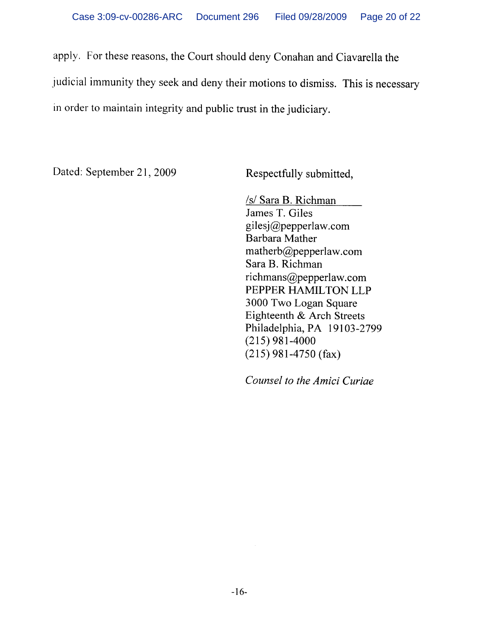apply. For these reasons, the Court should deny Conahan and Ciavarella the judicial immunity they seek and deny their motions to dismiss. This is necessary in order to maintain integrity and public trust in the judiciary.

Dated: September 21, 2009

Respectfully submitted,

/s/ Sara B. Richman James T. Giles gilesj@pepperlaw.com Barbara Mather matherb@pepperlaw.com Sara B. Richman richmans@pepperlaw.com PEPPER HAMILTON LLP 3000 Two Logan Square Eighteenth & Arch Streets Philadelphia, PA 19103-2799  $(215)$  981-4000  $(215)$  981-4750 (fax)

Counsel to the Amici Curiae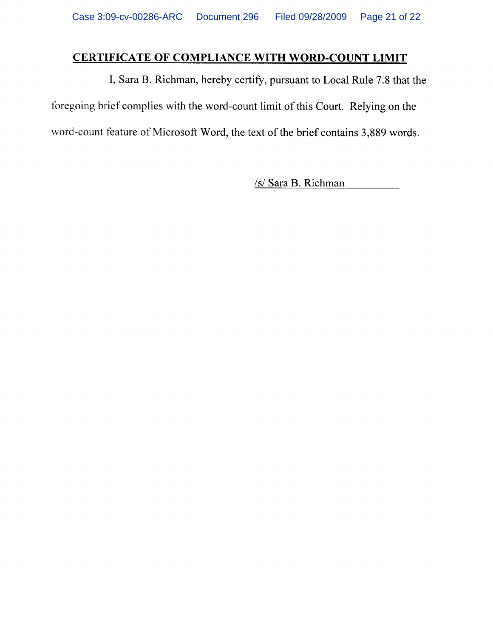# CERTIFICATE OF COMPLIANCE WITH WORD-COUNT LIMIT

I, Sara B. Richman, hereby certify, pursuant to Local Rule 7.8 that the foregoing brief complies with the word-count limit of this Court. Relying on the word-count feature of Microsoft Word, the text of the brief contains 3,889 words.

/s/ Sara B. Richman